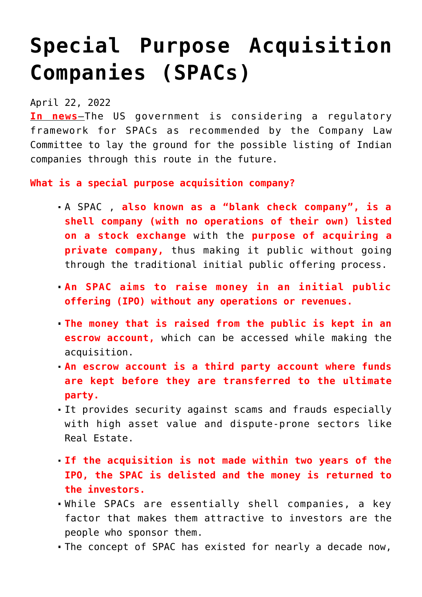## **[Special Purpose Acquisition](https://journalsofindia.com/special-purpose-acquisition-companies-spacs/) [Companies \(SPACs\)](https://journalsofindia.com/special-purpose-acquisition-companies-spacs/)**

## April 22, 2022

**In news**–The US government is considering a regulatory framework for SPACs as recommended by the Company Law Committee to lay the ground for the possible listing of Indian companies through this route in the future.

**What is a special purpose acquisition company?**

- A SPAC , **also known as a "blank check company", is a shell company (with no operations of their own) listed on a stock exchange** with the **purpose of acquiring a private company,** thus making it public without going through the traditional initial public offering process.
- **An SPAC aims to raise money in an initial public offering (IPO) without any operations or revenues.**
- **The money that is raised from the public is kept in an escrow account,** which can be accessed while making the acquisition.
- **An escrow account is a third party account where funds are kept before they are transferred to the ultimate party.**
- It provides security against scams and frauds especially with high asset value and dispute-prone sectors like Real Estate.
- **If the acquisition is not made within two years of the IPO, the SPAC is delisted and the money is returned to the investors.**
- While SPACs are essentially shell companies, a key factor that makes them attractive to investors are the people who sponsor them.
- The concept of SPAC has existed for nearly a decade now,